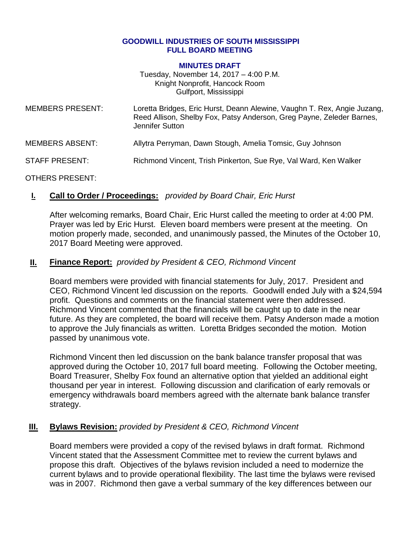#### **GOODWILL INDUSTRIES OF SOUTH MISSISSIPPI FULL BOARD MEETING**

#### **MINUTES DRAFT**

Tuesday, November 14, 2017 – 4:00 P.M. Knight Nonprofit, Hancock Room Gulfport, Mississippi

| <b>MEMBERS PRESENT:</b> | Loretta Bridges, Eric Hurst, Deann Alewine, Vaughn T. Rex, Angie Juzang,<br>Reed Allison, Shelby Fox, Patsy Anderson, Greg Payne, Zeleder Barnes,<br>Jennifer Sutton |
|-------------------------|----------------------------------------------------------------------------------------------------------------------------------------------------------------------|
| <b>MEMBERS ABSENT:</b>  | Allytra Perryman, Dawn Stough, Amelia Tomsic, Guy Johnson                                                                                                            |
| <b>STAFF PRESENT:</b>   | Richmond Vincent, Trish Pinkerton, Sue Rye, Val Ward, Ken Walker                                                                                                     |

OTHERS PRESENT:

### **I. Call to Order / Proceedings:** *provided by Board Chair, Eric Hurst*

After welcoming remarks, Board Chair, Eric Hurst called the meeting to order at 4:00 PM. Prayer was led by Eric Hurst. Eleven board members were present at the meeting. On motion properly made, seconded, and unanimously passed, the Minutes of the October 10, 2017 Board Meeting were approved.

### **II. Finance Report:** *provided by President & CEO, Richmond Vincent*

Board members were provided with financial statements for July, 2017. President and CEO, Richmond Vincent led discussion on the reports. Goodwill ended July with a \$24,594 profit. Questions and comments on the financial statement were then addressed. Richmond Vincent commented that the financials will be caught up to date in the near future. As they are completed, the board will receive them. Patsy Anderson made a motion to approve the July financials as written. Loretta Bridges seconded the motion. Motion passed by unanimous vote.

Richmond Vincent then led discussion on the bank balance transfer proposal that was approved during the October 10, 2017 full board meeting. Following the October meeting, Board Treasurer, Shelby Fox found an alternative option that yielded an additional eight thousand per year in interest. Following discussion and clarification of early removals or emergency withdrawals board members agreed with the alternate bank balance transfer strategy.

### **III. Bylaws Revision:** *provided by President & CEO, Richmond Vincent*

Board members were provided a copy of the revised bylaws in draft format. Richmond Vincent stated that the Assessment Committee met to review the current bylaws and propose this draft. Objectives of the bylaws revision included a need to modernize the current bylaws and to provide operational flexibility. The last time the bylaws were revised was in 2007. Richmond then gave a verbal summary of the key differences between our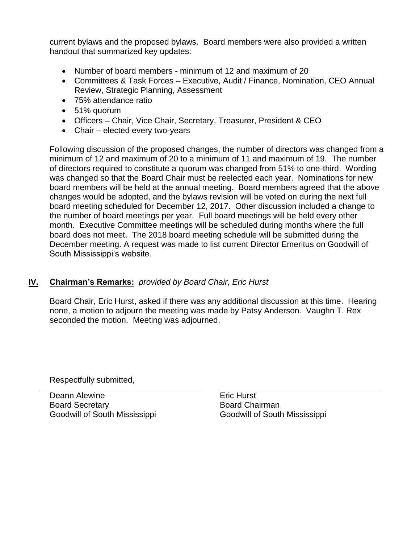current bylaws and the proposed bylaws. Board members were also provided a written handout that summarized key updates:

- Number of board members minimum of 12 and maximum of 20
- Committees & Task Forces Executive, Audit / Finance, Nomination, CEO Annual Review, Strategic Planning, Assessment
- 75% attendance ratio
- 51% quorum
- Officers Chair, Vice Chair, Secretary, Treasurer, President & CEO
- Chair elected every two-years

Following discussion of the proposed changes, the number of directors was changed from a minimum of 12 and maximum of 20 to a minimum of 11 and maximum of 19. The number of directors required to constitute a quorum was changed from 51% to one-third. Wording was changed so that the Board Chair must be reelected each year. Nominations for new board members will be held at the annual meeting. Board members agreed that the above changes would be adopted, and the bylaws revision will be voted on during the next full board meeting scheduled for December 12, 2017. Other discussion included a change to the number of board meetings per year. Full board meetings will be held every other month. Executive Committee meetings will be scheduled during months where the full board does not meet. The 2018 board meeting schedule will be submitted during the December meeting. A request was made to list current Director Emeritus on Goodwill of South Mississippi's website.

# **IV. Chairman's Remarks:** *provided by Board Chair, Eric Hurst*

Board Chair, Eric Hurst, asked if there was any additional discussion at this time. Hearing none, a motion to adjourn the meeting was made by Patsy Anderson. Vaughn T. Rex seconded the motion. Meeting was adjourned.

Respectfully submitted,

Deann Alewine **Example 20** Eric Hurst Board Secretary Goodwill of South Mississippi

Board Chairman Goodwill of South Mississippi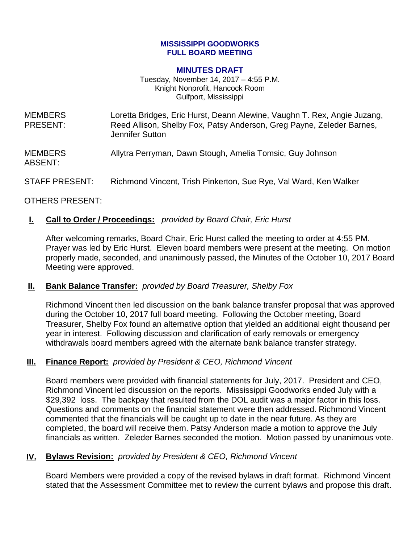### **MISSISSIPPI GOODWORKS FULL BOARD MEETING**

#### **MINUTES DRAFT**

Tuesday, November 14, 2017 – 4:55 P.M. Knight Nonprofit, Hancock Room Gulfport, Mississippi

| <b>MEMBERS</b><br><b>PRESENT:</b> | Loretta Bridges, Eric Hurst, Deann Alewine, Vaughn T. Rex, Angie Juzang,<br>Reed Allison, Shelby Fox, Patsy Anderson, Greg Payne, Zeleder Barnes,<br>Jennifer Sutton |
|-----------------------------------|----------------------------------------------------------------------------------------------------------------------------------------------------------------------|
| <b>MEMBERS</b><br>ABSENT:         | Allytra Perryman, Dawn Stough, Amelia Tomsic, Guy Johnson                                                                                                            |
| <b>STAFF PRESENT:</b>             | Richmond Vincent, Trish Pinkerton, Sue Rye, Val Ward, Ken Walker                                                                                                     |

### OTHERS PRESENT:

## **I. Call to Order / Proceedings:** *provided by Board Chair, Eric Hurst*

After welcoming remarks, Board Chair, Eric Hurst called the meeting to order at 4:55 PM. Prayer was led by Eric Hurst. Eleven board members were present at the meeting. On motion properly made, seconded, and unanimously passed, the Minutes of the October 10, 2017 Board Meeting were approved.

### **II. Bank Balance Transfer:** *provided by Board Treasurer, Shelby Fox*

Richmond Vincent then led discussion on the bank balance transfer proposal that was approved during the October 10, 2017 full board meeting. Following the October meeting, Board Treasurer, Shelby Fox found an alternative option that yielded an additional eight thousand per year in interest. Following discussion and clarification of early removals or emergency withdrawals board members agreed with the alternate bank balance transfer strategy.

### **III. Finance Report:** *provided by President & CEO, Richmond Vincent*

Board members were provided with financial statements for July, 2017. President and CEO, Richmond Vincent led discussion on the reports. Mississippi Goodworks ended July with a \$29,392 loss. The backpay that resulted from the DOL audit was a major factor in this loss. Questions and comments on the financial statement were then addressed. Richmond Vincent commented that the financials will be caught up to date in the near future. As they are completed, the board will receive them. Patsy Anderson made a motion to approve the July financials as written. Zeleder Barnes seconded the motion. Motion passed by unanimous vote.

# **IV. Bylaws Revision:** *provided by President & CEO, Richmond Vincent*

Board Members were provided a copy of the revised bylaws in draft format. Richmond Vincent stated that the Assessment Committee met to review the current bylaws and propose this draft.